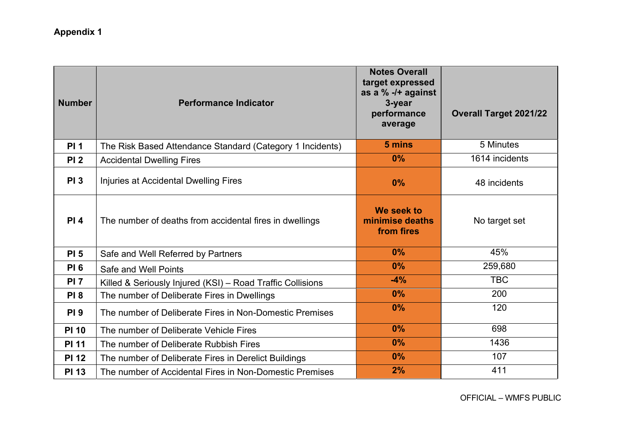## Appendix 1

| <b>Number</b>   | <b>Performance Indicator</b>                               | <b>Notes Overall</b><br>target expressed<br>as a % -/+ against<br>3-year<br>performance<br>average | <b>Overall Target 2021/22</b> |
|-----------------|------------------------------------------------------------|----------------------------------------------------------------------------------------------------|-------------------------------|
| <b>PI1</b>      | The Risk Based Attendance Standard (Category 1 Incidents)  | 5 mins                                                                                             | 5 Minutes                     |
| PI <sub>2</sub> | <b>Accidental Dwelling Fires</b>                           | 0%                                                                                                 | 1614 incidents                |
| <b>PI3</b>      | Injuries at Accidental Dwelling Fires                      | 0%                                                                                                 | 48 incidents                  |
| PI 4            | The number of deaths from accidental fires in dwellings    | We seek to<br>minimise deaths<br>from fires                                                        | No target set                 |
| <b>PI 5</b>     | Safe and Well Referred by Partners                         | 0%                                                                                                 | 45%                           |
| <b>PI 6</b>     | Safe and Well Points                                       | 0%                                                                                                 | 259,680                       |
| <b>PI 7</b>     | Killed & Seriously Injured (KSI) - Road Traffic Collisions | $-4%$                                                                                              | <b>TBC</b>                    |
| <b>PI8</b>      | The number of Deliberate Fires in Dwellings                | 0%                                                                                                 | 200                           |
| <b>PI9</b>      | The number of Deliberate Fires in Non-Domestic Premises    | 0%                                                                                                 | 120                           |
| <b>PI 10</b>    | The number of Deliberate Vehicle Fires                     | 0%                                                                                                 | 698                           |
| <b>PI 11</b>    | The number of Deliberate Rubbish Fires                     | 0%                                                                                                 | 1436                          |
| <b>PI 12</b>    | The number of Deliberate Fires in Derelict Buildings       | 0%                                                                                                 | 107                           |
| <b>PI 13</b>    | The number of Accidental Fires in Non-Domestic Premises    | 2%                                                                                                 | 411                           |

OFFICIAL – WMFS PUBLIC